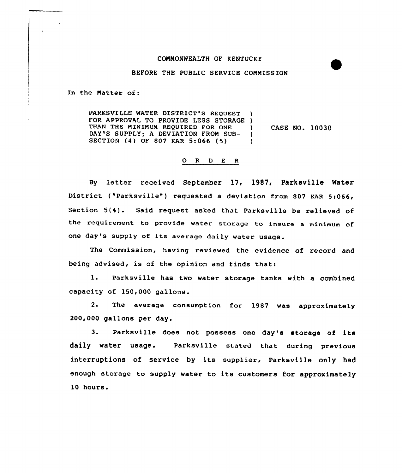## CONNONWEALTH OF KENTUCKY

## BEFORE THE PUBLIC SERVICE COMMISSION

In the Natter of:

PARKSVILLE WATER DISTRICT'S REQUEST FOR APPROVAL TO PROVIDE LESS STORAGE )<br>THAN THE MINIMUM REQUIRED FOR ONE THAN THE MINIMUM REQUIRED FOR ONE DAY'S SUPPLY; A DEVIATION FROM SUB- )<br>SECTION (4) OF 807 KAR 5:066 (5) ) SECTION (4) OF 807 KAR 5:066 (5) CASE NO. 10030

## 0 R <sup>D</sup> E <sup>R</sup>

By letter received September 17, 1987, Parksville Water District ("Parksville") requested a deviation from 807 KAR 5:066, Section 5{4). Said request asked that Parksville be relieved of the requirement to provide water storage to insure <sup>a</sup> minimum of one day's supply of its average daily water usage.

The Commission, having reviewed the evidence of record and being advised, is of the opinion and finds that:

1. Parksville has two water storage tanks with <sup>a</sup> combined capacity of 150,000 gallons.

2. The average consumption for 1987 was approximately 200,000 gallons per day.

3. Parksville does not possess one day's storage of its daily water usage. Parksville stated that during previous interruptions of service by its supplier, Parksville only had enough storage to supply water to its customers for approximately 10 hours.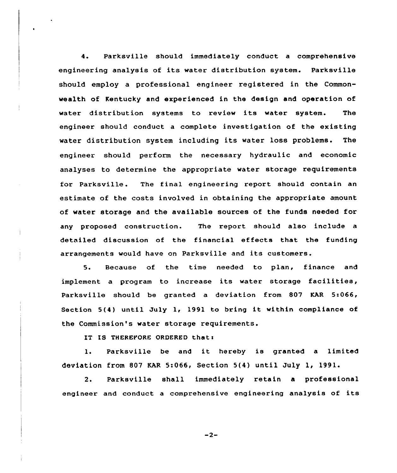4. Parksville should immediately conduct a comprehensive engineering analysis of its water distribution system. Parksville should employ a professional engineer registered in the Commonwealth of Kentucky and experienced in the design and operation of water distribution systems to review its water system. The engineer should conduct a complete investigation of the existing water distribution system including its water loss problems. The engineer should perform the necessary hydraulic and economic analyses to determine the appropriate water storage requirements for Parksville. The final engineering report should contain an estimate of the costs involved in obtaining the appropriate amount of water storage and the available sources of the funds needed for any proposed construction. The report should also include a detniled discussion of the financial effects that the funding arrangements would have on Parksville and its customers.

5. Because of the time needed to plan, finance and implement <sup>a</sup> program to increase its water storage facilities, Parksville should be granted a deviation from 807 KAR 5:066, Section 5{4) until July 1, 1991 to bring it within compliance of the Commission's water storage requirements.

IT IS THEREFORE ORDERED thats

1. Parksville be and it hereby is granted <sup>a</sup> limited deviation from 807 KAR 5:066, Section 5{4) until July 1, 1991.

2. Parksville shall immediately retain a professional engineer and conduct <sup>a</sup> comprehensive engineering analysis of its

 $-2-$